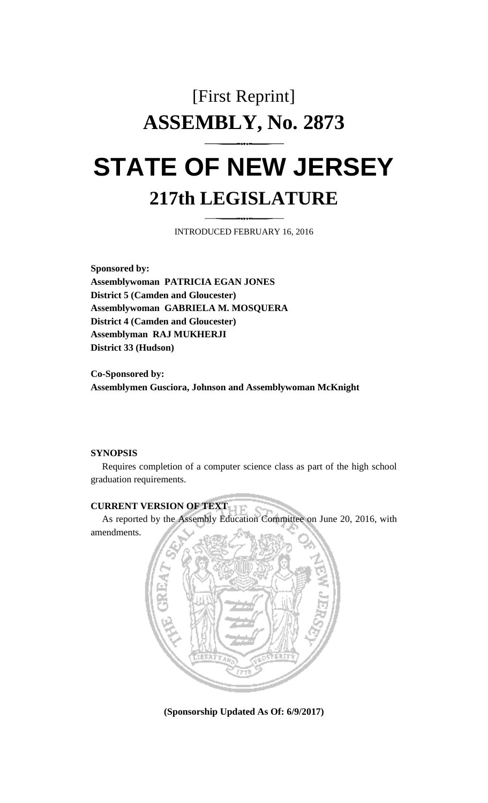# [First Reprint] **ASSEMBLY, No. 2873 STATE OF NEW JERSEY**

## **217th LEGISLATURE**

INTRODUCED FEBRUARY 16, 2016

**Sponsored by: Assemblywoman PATRICIA EGAN JONES District 5 (Camden and Gloucester) Assemblywoman GABRIELA M. MOSQUERA District 4 (Camden and Gloucester) Assemblyman RAJ MUKHERJI District 33 (Hudson)**

**Co-Sponsored by: Assemblymen Gusciora, Johnson and Assemblywoman McKnight**

#### **SYNOPSIS**

Requires completion of a computer science class as part of the high school graduation requirements.

## **CURRENT VERSION OF TEXT**

As reported by the Assembly Education Committee on June 20, 2016, with amendments.



**(Sponsorship Updated As Of: 6/9/2017)**